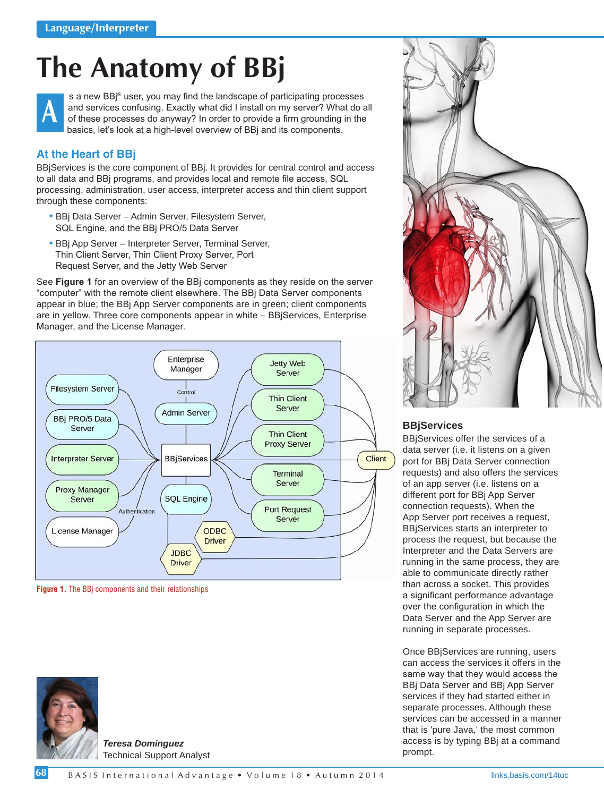# **The Anatomy of BBj**



s a new BBj® user, you may find the landscape of participating processes and services confusing. Exactly what did I install on my server? What do all of these processes do anyway? In order to provide a firm grounding in the basics, let's look at a high-level overview of BBj and its components.

# **At the Heart of BBj**

BBjServices is the core component of BBj. It provides for central control and access to all data and BBj programs, and provides local and remote file access, SQL processing, administration, user access, interpreter access and thin client support through these components:

- BBj Data Server Admin Server, Filesystem Server, SQL Engine, and the BBj PRO/5 Data Server
- BBj App Server Interpreter Server, Terminal Server, Thin Client Server, Thin Client Proxy Server, Port Request Server, and the Jetty Web Server

See **Figure 1** for an overview of the BBj components as they reside on the server "computer" with the remote client elsewhere. The BBj Data Server components appear in blue; the BBj App Server components are in green; client components are in yellow. Three core components appear in white – BBjServices, Enterprise Manager, and the License Manager.



 **Figure 1.** The BBj components and their relationships



*Teresa Dominguez* Technical Support Analyst



# **BBjServices**

BBjServices offer the services of a data server (i.e. it listens on a given port for BBj Data Server connection requests) and also offers the services of an app server (i.e. listens on a different port for BBj App Server connection requests). When the App Server port receives a request, BBjServices starts an interpreter to process the request, but because the Interpreter and the Data Servers are running in the same process, they are able to communicate directly rather than across a socket. This provides a significant performance advantage over the configuration in which the Data Server and the App Server are running in separate processes.

Once BBjServices are running, users can access the services it offers in the same way that they would access the BBj Data Server and BBj App Server services if they had started either in separate processes. Although these services can be accessed in a manner that is 'pure Java,' the most common access is by typing BBj at a command prompt.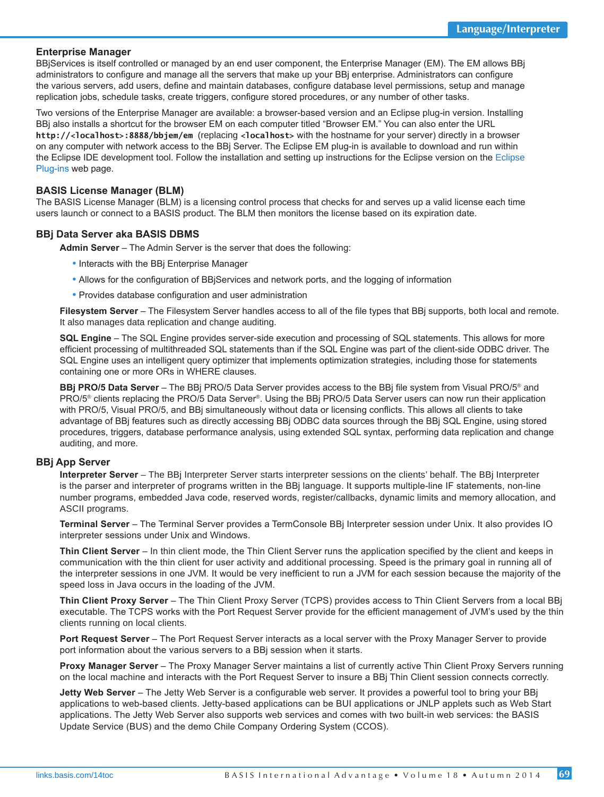## **Enterprise Manager**

BBjServices is itself controlled or managed by an end user component, the Enterprise Manager (EM). The EM allows BBj administrators to configure and manage all the servers that make up your BBj enterprise. Administrators can configure the various servers, add users, define and maintain databases, configure database level permissions, setup and manage replication jobs, schedule tasks, create triggers, configure stored procedures, or any number of other tasks.

Two versions of the Enterprise Manager are available: a browser-based version and an Eclipse plug-in version. Installing BBj also installs a shortcut for the browser EM on each computer titled "Browser EM." You can also enter the URL **http://<localhost>:8888/bbjem/em** (replacing **<localhost>** with the hostname for your server) directly in a browser on any computer with network access to the BBj Server. The Eclipse EM plug-in is available to download and run within the Eclipse IDE development tool. Follow the installation and setting up instructions for the Eclipse version on the [Eclipse](http://links.basis.com/eclipse)  [Plug-ins w](http://links.basis.com/eclipse)eb page.

## **BASIS License Manager (BLM)**

The BASIS License Manager (BLM) is a licensing control process that checks for and serves up a valid license each time users launch or connect to a BASIS product. The BLM then monitors the license based on its expiration date.

## **BBj Data Server aka BASIS DBMS**

**Admin Server** – The Admin Server is the server that does the following:

- Interacts with the BBj Enterprise Manager
- Allows for the configuration of BBjServices and network ports, and the logging of information
- Provides database configuration and user administration

**Filesystem Server** – The Filesystem Server handles access to all of the file types that BBj supports, both local and remote. It also manages data replication and change auditing.

**SQL Engine** – The SQL Engine provides server-side execution and processing of SQL statements. This allows for more efficient processing of multithreaded SQL statements than if the SQL Engine was part of the client-side ODBC driver. The SQL Engine uses an intelligent query optimizer that implements optimization strategies, including those for statements containing one or more ORs in WHERE clauses.

**BBj PRO/5 Data Server** – The BBj PRO/5 Data Server provides access to the BBj file system from Visual PRO/5® and PRO/5® clients replacing the PRO/5 Data Server®. Using the BBj PRO/5 Data Server users can now run their application with PRO/5, Visual PRO/5, and BBj simultaneously without data or licensing conflicts. This allows all clients to take advantage of BBj features such as directly accessing BBj ODBC data sources through the BBj SQL Engine, using stored procedures, triggers, database performance analysis, using extended SQL syntax, performing data replication and change auditing, and more.

#### **BBj App Server**

**Interpreter Server** – The BBj Interpreter Server starts interpreter sessions on the clients' behalf. The BBj Interpreter is the parser and interpreter of programs written in the BBj language. It supports multiple-line IF statements, non-line number programs, embedded Java code, reserved words, register/callbacks, dynamic limits and memory allocation, and ASCII programs.

**Terminal Server** – The Terminal Server provides a TermConsole BBj Interpreter session under Unix. It also provides IO interpreter sessions under Unix and Windows.

**Thin Client Server** – In thin client mode, the Thin Client Server runs the application specified by the client and keeps in communication with the thin client for user activity and additional processing. Speed is the primary goal in running all of the interpreter sessions in one JVM. It would be very inefficient to run a JVM for each session because the majority of the speed loss in Java occurs in the loading of the JVM.

**Thin Client Proxy Server** – The Thin Client Proxy Server (TCPS) provides access to Thin Client Servers from a local BBj executable. The TCPS works with the Port Request Server provide for the efficient management of JVM's used by the thin clients running on local clients.

**Port Request Server** – The Port Request Server interacts as a local server with the Proxy Manager Server to provide port information about the various servers to a BBj session when it starts.

**Proxy Manager Server** – The Proxy Manager Server maintains a list of currently active Thin Client Proxy Servers running on the local machine and interacts with the Port Request Server to insure a BBj Thin Client session connects correctly.

**Jetty Web Server** – The Jetty Web Server is a configurable web server. It provides a powerful tool to bring your BBj applications to web-based clients. Jetty-based applications can be BUI applications or JNLP applets such as Web Start applications. The Jetty Web Server also supports web services and comes with two built-in web services: the BASIS Update Service (BUS) and the demo Chile Company Ordering System (CCOS).